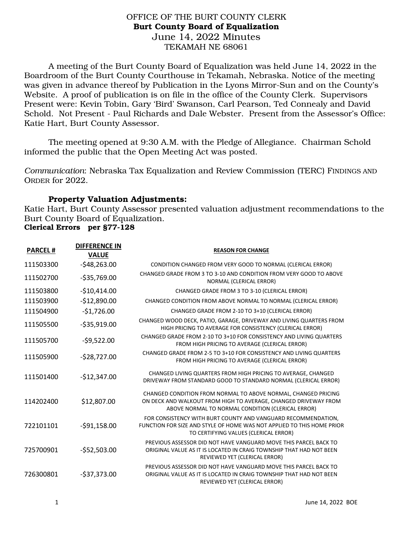## OFFICE OF THE BURT COUNTY CLERK Burt County Board of Equalization June 14, 2022 Minutes TEKAMAH NE 68061

A meeting of the Burt County Board of Equalization was held June 14, 2022 in the Boardroom of the Burt County Courthouse in Tekamah, Nebraska. Notice of the meeting was given in advance thereof by Publication in the Lyons Mirror-Sun and on the County's Website. A proof of publication is on file in the office of the County Clerk. Supervisors Present were: Kevin Tobin, Gary 'Bird' Swanson, Carl Pearson, Ted Connealy and David Schold. Not Present - Paul Richards and Dale Webster. Present from the Assessor's Office: Katie Hart, Burt County Assessor.

 The meeting opened at 9:30 A.M. with the Pledge of Allegiance. Chairman Schold informed the public that the Open Meeting Act was posted.

*Communication*: Nebraska Tax Equalization and Review Commission (TERC) FINDINGS AND ORDER for 2022.

## Property Valuation Adjustments:

Katie Hart, Burt County Assessor presented valuation adjustment recommendations to the Burt County Board of Equalization. Clerical Errors per §77-128

|                | <b>DIFFERENCE IN</b> |                                                                                                                                                                                        |
|----------------|----------------------|----------------------------------------------------------------------------------------------------------------------------------------------------------------------------------------|
| <b>PARCEL#</b> | <b>VALUE</b>         | <b>REASON FOR CHANGE</b>                                                                                                                                                               |
| 111503300      | $-548,263.00$        | CONDITION CHANGED FROM VERY GOOD TO NORMAL (CLERICAL ERROR)                                                                                                                            |
| 111502700      | $-535,769.00$        | CHANGED GRADE FROM 3 TO 3-10 AND CONDITION FROM VERY GOOD TO ABOVE<br>NORMAL (CLERICAL ERROR)                                                                                          |
| 111503800      | $-$10,414.00$        | CHANGED GRADE FROM 3 TO 3-10 (CLERICAL ERROR)                                                                                                                                          |
| 111503900      | $-$12,890.00$        | CHANGED CONDITION FROM ABOVE NORMAL TO NORMAL (CLERICAL ERROR)                                                                                                                         |
| 111504900      | $-$1,726.00$         | CHANGED GRADE FROM 2-10 TO 3+10 (CLERICAL ERROR)                                                                                                                                       |
| 111505500      | $-535,919.00$        | CHANGED WOOD DECK, PATIO, GARAGE, DRIVEWAY AND LIVING QUARTERS FROM<br>HIGH PRICING TO AVERAGE FOR CONSISTENCY (CLERICAL ERROR)                                                        |
| 111505700      | $-59,522.00$         | CHANGED GRADE FROM 2-10 TO 3+10 FOR CONSISTENCY AND LIVING QUARTERS<br>FROM HIGH PRICING TO AVERAGE (CLERICAL ERROR)                                                                   |
| 111505900      | $-528,727.00$        | CHANGED GRADE FROM 2-5 TO 3+10 FOR CONSISTENCY AND LIVING QUARTERS<br>FROM HIGH PRICING TO AVERAGE (CLERICAL ERROR)                                                                    |
| 111501400      | $-$12,347.00$        | CHANGED LIVING QUARTERS FROM HIGH PRICING TO AVERAGE, CHANGED<br>DRIVEWAY FROM STANDARD GOOD TO STANDARD NORMAL (CLERICAL ERROR)                                                       |
| 114202400      | \$12,807.00          | CHANGED CONDITION FROM NORMAL TO ABOVE NORMAL, CHANGED PRICING<br>ON DECK AND WALKOUT FROM HIGH TO AVERAGE, CHANGED DRIVEWAY FROM<br>ABOVE NORMAL TO NORMAL CONDITION (CLERICAL ERROR) |
| 722101101      | $-591,158.00$        | FOR CONSISTENCY WITH BURT COUNTY AND VANGUARD RECOMMENDATION,<br>FUNCTION FOR SIZE AND STYLE OF HOME WAS NOT APPLIED TO THIS HOME PRIOR<br>TO CERTIFYING VALUES (CLERICAL ERROR)       |
| 725700901      | $-$52,503.00$        | PREVIOUS ASSESSOR DID NOT HAVE VANGUARD MOVE THIS PARCEL BACK TO<br>ORIGINAL VALUE AS IT IS LOCATED IN CRAIG TOWNSHIP THAT HAD NOT BEEN<br>REVIEWED YET (CLERICAL ERROR)               |
| 726300801      | $-537,373.00$        | PREVIOUS ASSESSOR DID NOT HAVE VANGUARD MOVE THIS PARCEL BACK TO<br>ORIGINAL VALUE AS IT IS LOCATED IN CRAIG TOWNSHIP THAT HAD NOT BEEN<br>REVIEWED YET (CLERICAL ERROR)               |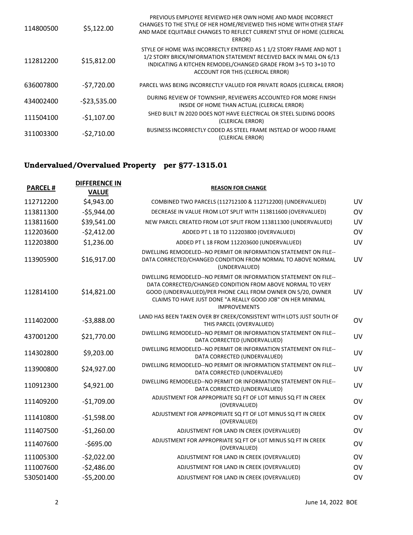| 114800500 | \$5,122.00    | PREVIOUS EMPLOYEE REVIEWED HER OWN HOME AND MADE INCORRECT<br>CHANGES TO THE STYLE OF HER HOME/REVIEWED THIS HOME WITH OTHER STAFF<br>AND MADE EQUITABLE CHANGES TO REFLECT CURRENT STYLE OF HOME (CLERICAL<br>ERROR)                              |
|-----------|---------------|----------------------------------------------------------------------------------------------------------------------------------------------------------------------------------------------------------------------------------------------------|
| 112812200 | \$15,812.00   | STYLE OF HOME WAS INCORRECTLY ENTERED AS 1 1/2 STORY FRAME AND NOT 1<br>1/2 STORY BRICK/INFORMATION STATEMENT RECEIVED BACK IN MAIL ON 6/13<br>INDICATING A KITCHEN REMODEL/CHANGED GRADE FROM 3+5 TO 3+10 TO<br>ACCOUNT FOR THIS (CLERICAL ERROR) |
| 636007800 | $-57,720.00$  | PARCEL WAS BEING INCORRECTLY VALUED FOR PRIVATE ROADS (CLERICAL ERROR)                                                                                                                                                                             |
| 434002400 | $-523,535.00$ | DURING REVIEW OF TOWNSHIP, REVIEWERS ACCOUNTED FOR MORE FINISH<br>INSIDE OF HOME THAN ACTUAL (CLERICAL ERROR)                                                                                                                                      |
| 111504100 | $-$1,107.00$  | SHED BUILT IN 2020 DOES NOT HAVE ELECTRICAL OR STEEL SLIDING DOORS<br>(CLERICAL ERROR)                                                                                                                                                             |
| 311003300 | $-52,710.00$  | BUSINESS INCORRECTLY CODED AS STEEL FRAME INSTEAD OF WOOD FRAME<br>(CLERICAL ERROR)                                                                                                                                                                |

## Undervalued/Overvalued Property per §77-1315.01

| <b>PARCEL#</b> | <b>DIFFERENCE IN</b><br><b>VALUE</b> | <b>REASON FOR CHANGE</b>                                                                                                                                                                                                                                                            |           |
|----------------|--------------------------------------|-------------------------------------------------------------------------------------------------------------------------------------------------------------------------------------------------------------------------------------------------------------------------------------|-----------|
| 112712200      | \$4,943.00                           | COMBINED TWO PARCELS (112712100 & 112712200) (UNDERVALUED)                                                                                                                                                                                                                          | UV        |
| 113811300      | $-$5,944.00$                         | DECREASE IN VALUE FROM LOT SPLIT WITH 113811600 (OVERVALUED)                                                                                                                                                                                                                        | OV        |
| 113811600      | \$39,541.00                          | NEW PARCEL CREATED FROM LOT SPLIT FROM 113811300 (UNDERVALUED)                                                                                                                                                                                                                      | UV        |
| 112203600      | $-52,412.00$                         | ADDED PT L 18 TO 112203800 (OVERVALUED)                                                                                                                                                                                                                                             | <b>OV</b> |
| 112203800      | \$1,236.00                           | ADDED PT L 18 FROM 112203600 (UNDERVALUED)                                                                                                                                                                                                                                          | UV        |
| 113905900      | \$16,917.00                          | DWELLING REMODELED--NO PERMIT OR INFORMATION STATEMENT ON FILE--<br>DATA CORRECTED/CHANGED CONDITION FROM NORMAL TO ABOVE NORMAL<br>(UNDERVALUED)                                                                                                                                   | UV        |
| 112814100      | \$14,821.00                          | DWELLING REMODELED--NO PERMIT OR INFORMATION STATEMENT ON FILE--<br>DATA CORRECTED/CHANGED CONDITION FROM ABOVE NORMAL TO VERY<br>GOOD (UNDERVALUED)/PER PHONE CALL FROM OWNER ON 5/20, OWNER<br>CLAIMS TO HAVE JUST DONE "A REALLY GOOD JOB" ON HER MINIMAL<br><b>IMPROVEMENTS</b> | <b>UV</b> |
| 111402000      | $-53,888.00$                         | LAND HAS BEEN TAKEN OVER BY CREEK/CONSISTENT WITH LOTS JUST SOUTH OF<br>THIS PARCEL (OVERVALUED)                                                                                                                                                                                    | <b>OV</b> |
| 437001200      | \$21,770.00                          | DWELLING REMODELED--NO PERMIT OR INFORMATION STATEMENT ON FILE--<br>DATA CORRECTED (UNDERVALUED)                                                                                                                                                                                    | UV        |
| 114302800      | \$9,203.00                           | DWELLING REMODELED--NO PERMIT OR INFORMATION STATEMENT ON FILE--<br>DATA CORRECTED (UNDERVALUED)                                                                                                                                                                                    | UV        |
| 113900800      | \$24,927.00                          | DWELLING REMODELED--NO PERMIT OR INFORMATION STATEMENT ON FILE--<br>DATA CORRECTED (UNDERVALUED)                                                                                                                                                                                    | UV        |
| 110912300      | \$4,921.00                           | DWELLING REMODELED--NO PERMIT OR INFORMATION STATEMENT ON FILE--<br>DATA CORRECTED (UNDERVALUED)                                                                                                                                                                                    | UV        |
| 111409200      | $-$1,709.00$                         | ADJUSTMENT FOR APPROPRIATE SQ FT OF LOT MINUS SQ FT IN CREEK<br>(OVERVALUED)                                                                                                                                                                                                        | OV        |
| 111410800      | $-$1,598.00$                         | ADJUSTMENT FOR APPROPRIATE SQ FT OF LOT MINUS SQ FT IN CREEK<br>(OVERVALUED)                                                                                                                                                                                                        | OV        |
| 111407500      | $-$1,260.00$                         | ADJUSTMENT FOR LAND IN CREEK (OVERVALUED)                                                                                                                                                                                                                                           | <b>OV</b> |
| 111407600      | $-5695.00$                           | ADJUSTMENT FOR APPROPRIATE SQ FT OF LOT MINUS SQ FT IN CREEK<br>(OVERVALUED)                                                                                                                                                                                                        | OV        |
| 111005300      | $-52,022.00$                         | ADJUSTMENT FOR LAND IN CREEK (OVERVALUED)                                                                                                                                                                                                                                           | OV        |
| 111007600      | $-52,486.00$                         | ADJUSTMENT FOR LAND IN CREEK (OVERVALUED)                                                                                                                                                                                                                                           | OV        |
| 530501400      | $-$5,200.00$                         | ADJUSTMENT FOR LAND IN CREEK (OVERVALUED)                                                                                                                                                                                                                                           | <b>OV</b> |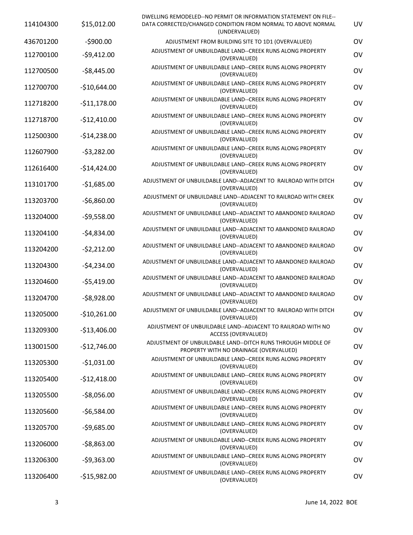| 114104300 | \$15,012.00   | DWELLING REMODELED--NO PERMIT OR INFORMATION STATEMENT ON FILE--<br>DATA CORRECTED/CHANGED CONDITION FROM NORMAL TO ABOVE NORMAL<br>(UNDERVALUED) | UV |
|-----------|---------------|---------------------------------------------------------------------------------------------------------------------------------------------------|----|
| 436701200 | $-5900.00$    | ADJUSTMENT FROM BUILDING SITE TO 1D1 (OVERVALUED)                                                                                                 | OV |
| 112700100 | $-59,412.00$  | ADJUSTMENT OF UNBUILDABLE LAND--CREEK RUNS ALONG PROPERTY<br>(OVERVALUED)                                                                         | OV |
| 112700500 | $-58,445.00$  | ADJUSTMENT OF UNBUILDABLE LAND--CREEK RUNS ALONG PROPERTY<br>(OVERVALUED)                                                                         | OV |
| 112700700 | $-$10,644.00$ | ADJUSTMENT OF UNBUILDABLE LAND--CREEK RUNS ALONG PROPERTY<br>(OVERVALUED)                                                                         | OV |
| 112718200 | $-511,178.00$ | ADJUSTMENT OF UNBUILDABLE LAND--CREEK RUNS ALONG PROPERTY<br>(OVERVALUED)                                                                         | OV |
| 112718700 | $-$12,410.00$ | ADJUSTMENT OF UNBUILDABLE LAND--CREEK RUNS ALONG PROPERTY<br>(OVERVALUED)                                                                         | OV |
| 112500300 | $-$14,238.00$ | ADJUSTMENT OF UNBUILDABLE LAND--CREEK RUNS ALONG PROPERTY<br>(OVERVALUED)                                                                         | OV |
| 112607900 | $-53,282.00$  | ADJUSTMENT OF UNBUILDABLE LAND--CREEK RUNS ALONG PROPERTY<br>(OVERVALUED)                                                                         | OV |
| 112616400 | $-$14,424.00$ | ADJUSTMENT OF UNBUILDABLE LAND--CREEK RUNS ALONG PROPERTY<br>(OVERVALUED)                                                                         | OV |
| 113101700 | $-$1,685.00$  | ADJUSTMENT OF UNBUILDABLE LAND--ADJACENT TO RAILROAD WITH DITCH<br>(OVERVALUED)                                                                   | OV |
| 113203700 | $-56,860.00$  | ADJUSTMENT OF UNBUILDABLE LAND--ADJACENT TO RAILROAD WITH CREEK<br>(OVERVALUED)                                                                   | OV |
| 113204000 | $-59,558.00$  | ADJUSTMENT OF UNBUILDABLE LAND--ADJACENT TO ABANDONED RAILROAD<br>(OVERVALUED)                                                                    | OV |
| 113204100 | $-54,834.00$  | ADJUSTMENT OF UNBUILDABLE LAND--ADJACENT TO ABANDONED RAILROAD<br>(OVERVALUED)                                                                    | OV |
| 113204200 | $-52,212.00$  | ADJUSTMENT OF UNBUILDABLE LAND--ADJACENT TO ABANDONED RAILROAD<br>(OVERVALUED)                                                                    | OV |
| 113204300 | $-54,234.00$  | ADJUSTMENT OF UNBUILDABLE LAND--ADJACENT TO ABANDONED RAILROAD<br>(OVERVALUED)                                                                    | OV |
| 113204600 | $-55,419.00$  | ADJUSTMENT OF UNBUILDABLE LAND--ADJACENT TO ABANDONED RAILROAD<br>(OVERVALUED)                                                                    | OV |
| 113204700 | $-58,928.00$  | ADJUSTMENT OF UNBUILDABLE LAND--ADJACENT TO ABANDONED RAILROAD<br>(OVERVALUED)                                                                    | OV |
| 113205000 | $-$10,261.00$ | ADJUSTMENT OF UNBUILDABLE LAND--ADJACENT TO RAILROAD WITH DITCH<br>(OVERVALUED)                                                                   | OV |
| 113209300 | $-$13,406.00$ | ADJUSTMENT OF UNBUILDABLE LAND--ADJACENT TO RAILROAD WITH NO<br>ACCESS (OVERVALUED)                                                               | OV |
| 113001500 | $-$12,746.00$ | ADJUSTMENT OF UNBUILDABLE LAND--DITCH RUNS THROUGH MIDDLE OF<br>PROPERTY WITH NO DRAINAGE (OVERVALUED)                                            | OV |
| 113205300 | $-$1,031.00$  | ADJUSTMENT OF UNBUILDABLE LAND--CREEK RUNS ALONG PROPERTY<br>(OVERVALUED)                                                                         | OV |
| 113205400 | $-$12,418.00$ | ADJUSTMENT OF UNBUILDABLE LAND--CREEK RUNS ALONG PROPERTY<br>(OVERVALUED)                                                                         | OV |
| 113205500 | $-58,056.00$  | ADJUSTMENT OF UNBUILDABLE LAND--CREEK RUNS ALONG PROPERTY<br>(OVERVALUED)                                                                         | OV |
| 113205600 | $-56,584.00$  | ADJUSTMENT OF UNBUILDABLE LAND--CREEK RUNS ALONG PROPERTY<br>(OVERVALUED)                                                                         | OV |
| 113205700 | $-59,685.00$  | ADJUSTMENT OF UNBUILDABLE LAND--CREEK RUNS ALONG PROPERTY<br>(OVERVALUED)                                                                         | OV |
| 113206000 | $-58,863.00$  | ADJUSTMENT OF UNBUILDABLE LAND--CREEK RUNS ALONG PROPERTY<br>(OVERVALUED)                                                                         | OV |
| 113206300 | $-59,363.00$  | ADJUSTMENT OF UNBUILDABLE LAND--CREEK RUNS ALONG PROPERTY<br>(OVERVALUED)                                                                         | OV |
| 113206400 | $-$15,982.00$ | ADJUSTMENT OF UNBUILDABLE LAND--CREEK RUNS ALONG PROPERTY<br>(OVERVALUED)                                                                         | OV |